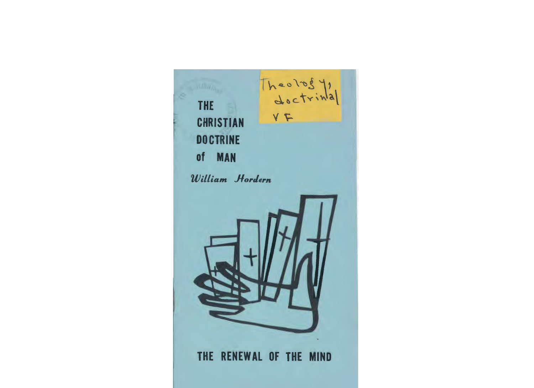Theology,  $Y$ 

# THE **CHRISTIAN DOCTRINE** of MAN

*William JlorJern* 



# THE RENEWAL OF THE MIND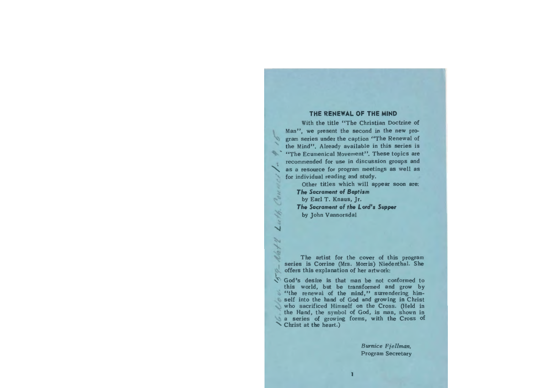# **THE RENEWAL OF THE MIND**

With the title "The Christian Doctrine of Man", we present the second in the new program series under the caption "The Renewal of the Mind". Already available in this series is "The Ecumenical Movement". These topics are recommended for use in discussion groups and as a resource for program meetings as well as for individual reading and study.

> Other titles which will appear soon are: *The* **Sacrament** *ol Baptism*  by Earl T. Knaus, Jr. *The* **Sacrament** *ol the* **Lord's** *Supper*

by John Vannorsdal

The artist for the cover of this program series is Corrine (Mrs. Morris) Niedenthal. She offers this explanation of her artwork:

God's desire is that man be not conformed to this world, but be transformed and grow by "the renewal of the mind," surrendering himself into the hand of God and growing in Christ who sacrificed Himself on the Cross. (Held in the Hand, the symbol of God, is man, shown in a series of growing forms, with the Cross of Christ at the heart.)

> *Burnice Fjellman,*  Program Secretary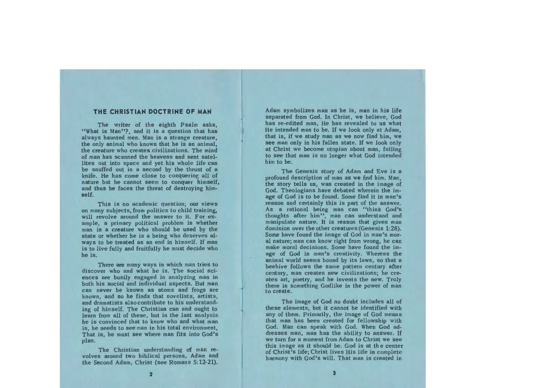# **THE CHRISTIAN DOCTRINE OF MAN**

The writer of the eighth Psalm asks, "What is Man"?, and it is a question that has always haunted men. Man is a strange creature, the only animal who knows that he is an animal, the creature who creates civilizations. The mind of man has scanned the heavens and sent satellites out into space and yet his whole life can be snuffed out in a second by the thrust of a knife. He has come close to conquerine; all of nature but he cannot seem to conquer himself, and thus he faces the threat of destroying himself.

This is no academic question; our views on many subjects, from politics to child training, will revolve around the answer to it. For example, a primary political problem is whether man is a creature who should be used by the state or whether he is a being who deserves always to be treated as an end in himself. If man is to live fully and fruitfully he must decide who he is.

There are many ways in which man tries to discover who and what he is. The social sciences are busily engaged in analyzing man in both his social and individual aspects. But man can never be known as atoms and frogs are known, and so he finds that novelists, artists, and dramatists alsocontribute to his understanding of himself. The Christian can and ought to learn from all of these, but in the last analysis he is convinced that to know who and what man is, he needs to see man in his total environment, That is, he must see where man fits into God's plan.

The Christian understanding of man revolves around two biblical persons, Adam and the Second Adam, Christ (see Romans 5: 12-21).

Adam symbolizes man as he is, man in his life separated from God. In Christ, we believe, God has re-edited man, He has revealed to us what He intended man to be. If we look only at Adam, that is, if we study man as we now find him, we see man only in his fallen state. If we look only at Christ we become utopian about man, failing to see that man is no longer what God intended him to be.

The Genesis story of Adam and Eve is a profound description of man as we find him. Man, the story tells us, was created in the image of God. Theologians have debated wherein the image of God is to be found. Some find it in man's reason and certainly this is part of the answer. As a rational being man can "think God's thoughts after him", man can understand and manipulate nature. It is reason that gives man dominion over the other creatures (Genesis 1:28). Some have found the image of God in man's moral nature; man can know right from wrong, he can make moral decisions. Some have found the image of God in man's creativity. Whereas the animal world seems bound by its laws, so that a beehive follows the same pattern century after century, man creates new civilizations; he creates art, poetry, and he invents the new. Truly there is something Godlike in the power of man to create.

The image of God no doubt includes all of these elements, but it cannot be identified with any of them. Primarily, the image of God means that man has been created for fellowship with God. Man can speak with God. When God addresses man, man has the ability to answer. If we turn for a moment from Adam to Christ we see this image as it should be. God is at the center of Christ's life; Christ lives His life in complete harmony with God's will. That man is created in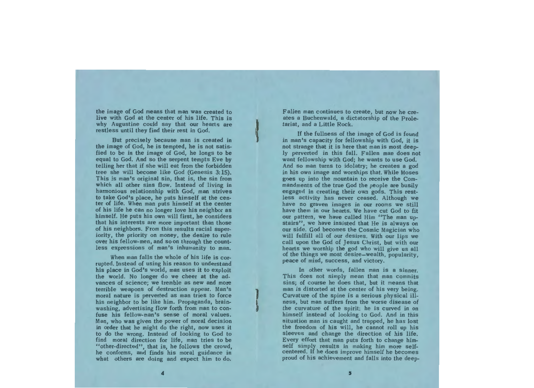the image of God means that man was created to live with God at the center of his life. This is why Augustine could say that our hearts are restless until they find their rest in God.

But precisely because man is created in the image of God, he is tempted, he is not satisfied to be in the image of God, he longs to be equal to God. And so the serpent tempts Eve by telling her that if she will eat from the forbidden tree she will become like God (Genesis 3: 15). This is man's original sin, that is, the sin from which all other sins flow. Instead of living in harmonious relationship with God, man strives to take God's place, he puts himself at the center of life. When man puts himself at the center of his life he can no longer love his neighbor as himself. He puts his own will first, he considers that his interests are more important than those of his neighbors. From this results racial superiority, the priority on money, the desire to rule over his fellow-men, and so on through the countless expressions of man's inhumanity to man.

When man falls the whole of his life is corrupted. Instead of using his reason to understand his place in God's world, man uses it to exploit the world. No longer do we cheer at the advances of science; we tremble as new and more terrible weapons of destruction appear. Man's moral nature is perverted as man **tries** to force his neighbor to be like him. Propaganda, brainwashing, advertising flow forth from man to confuse his fellow-man's sense of moral values. Man, who was given the power of moral decision in order that he might do the right, now uses it to do the wrong. Instead of looking to God to find moral direction for life, man tries to be "other-directed", that is, he follows the crowd, he conforms, and finds his moral guidance in what others are doing and expect him to do.

Fallen man continues to create, but now he creates a Buchenwald, a dictatorship of the Proletariat, and a Little Rock.

If the fullness of the image of God is found in man's capacity for fellowship with God, it is not strange that it is here that man is most deeply perverted in this fall. Fallen man does not want fellowship with God; he wants to use God. And so man turns to idolatry; he creates a god in his own image and worships that. While Moses goes up into the mountain to receive the Commandments of the true God the people are busily engaged in creating their own gods. This restless activity has never ceased. Although we have no graven images in our rooms we still have them in our hearts. We have cut God to fit our pattern, we have called Him "The man upstairs", we have insisted that He is always on our side. God becomes the Cosmic Magician who will fulfill all of our desires. With our lips we call upon the God of Jesus Christ, but with our hearts we worship the god who will give us all of the things we most desire-wealth, popularity, peace of mind, success, and victory.

In other words, fallen man is a sinner. This does not simply mean that man commits sins; of course he does that, but it means that man is distorted at the center of his very being. Curvature of the spine is a serious physical illness, but man suffers from the worse disease of the curvature of the spirit: he is curved in on himself instead of looking to God. And in this situation man is caught and trapped, he has lost the freedom of his will, he cannot roll up his sleeves and change the direction of his life. Every effort that man puts forth to change himself simply results in making him more selfcentered. If he does improve himself he becomes proud of his achievement and falls into the deep-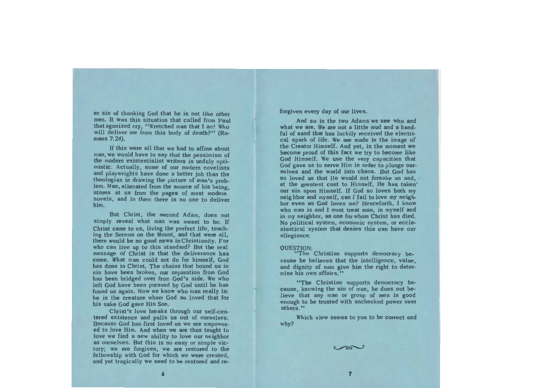er sin of thanking God that he is not like other men. It was this situation that called from Paul that agonized cry, "Wretched man that I am! Who will deliver me from this body of death?" (Romans 7:24).

If this were all that we had to affirm about man, we would have to say that the pessimism of the modern existentialist writers is unduly optimistic. Actually, some of our modern novelists and playwrights have done a better job than the theologian in drawing the picture of man's problem. Man, alienated from the source of his being, stares at us from the pages of most modem novels, and in them there is no one to deliver him.

But Christ, the second Adam, does not simply reveal what man was meant to be. If Christ came to us, living the perfect life, teaching the Sermon on the Mount, and that were all, there would be no good news in Christianity. For who can live up to this standard? But the real message of Christ is that the deliverance has come. What man could not do for himself, God has done in Christ. The chains that bound us in sin have been broken, our separation from God has been bridged over from God's side. We who left God have been pursued by God until he has found us again. Now we know who man really is: he is the creature whom God so loved that for his sake God gave His Son.

Christ's love breaks through our self-centered existence and pulls us out of ourselves. Because God has first loved us we are empowered to love Him. And when we are thus taught to love we find a new ability to love our neighbor as ourselves. But this is no easy or simple victory; we are forgiven, we are restored to the fellowship with God for which we were created, and yet tragically we need to be restored and reforgiven every day of our lives.

And so in the two Adams we see who and what we are. We are not a little mud and a handful of sand that has luckily received the electrical spark of life. We are made in the image of the Creator Himself. And yet, in the moment we become proud of this fact we try to become like God Himself. We use the very capacities that God gave us to serve Him in order to plunge ourselves and the world into chaos. But God has so loved us that He would not forsake us and, at the greatest cost to Himself, He has taken· our sin upon Himself. If God so loves both my neighbor and myself, can I fail to love my neighbor even as God loves me? Henceforth, I know who man is and I must treat man, in myself and in my neighbor, as one for whom Christ has died. No political system, economic system, or ecclesiastical system that denies this can have our allegiance.

#### QUESTION:

"The Christian supports democracy because he believes that the intelligence, value, and dignity of man give him the right to determine his own affairs."

"The Christian supports democracy because, knowing the sin of man, he does not believe that any man or group of men is good enough to be trusted with unchecked power over others."

Which view seems to you to be correct and why?

 $\sim$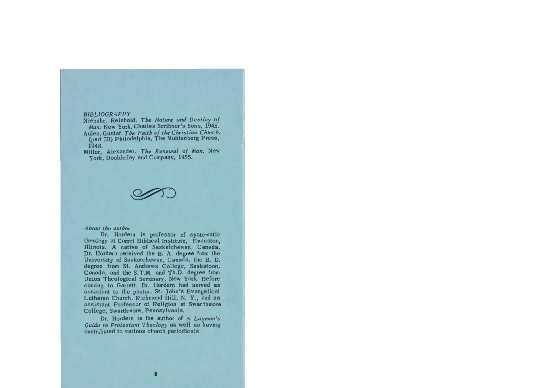#### *BIBLIOGRAPHY*

 Niebuhr, Reinhold. *The Nature and Destiny of Man:* New York, Charles Scribner's Sons, 1945.

- Aulen,Gustaf. *The Faith of the Christian Church.*  (part III) Philadelphia, The Muhlenberg Press, 1948.
- Miller, Alexander. *The Renewal of Man,* New York, Doubleday and Company, 1955.

S

### *About the author*

Dr. Hordern is professor of systematic theology at Garret Biblical Institute, Evanston, Illinois. A native of Saskatchewan, Canada, Dr. Hordern received the B. A. degree from the University of Saskatchewan, Canada, the B. D. degree from St. Andrews College, Saskatoon, Canada, and the S.T.M. and Th.D. degree from Union Theological Seminary, New York. Before coming to Garrett, Dr. Hordern had served as assistant to the pastor, St. John's Evangelical Lutheran Church, Richmond Hill, N. Y., and as assistant Professor of Religion at Swarthmore College, Swarthmore, Pennsylvania.

Dr. Hordern is the author of *A Layman's Guide to Protestant Theology* as well as having contributed to various church periodicals.